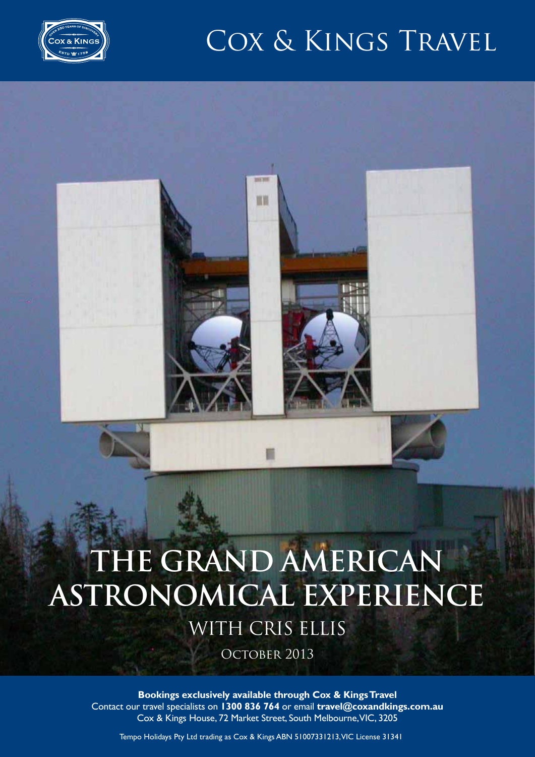

### COX & KINGS TRAVEL

# **The Grand American Astronomical Experience**

m

with Cris Ellis

OCTOBER 2013

**Bookings exclusively available through Cox & Kings Travel**  Contact our travel specialists on **1300 836 764** or email **travel@coxandkings.com.au** Cox & Kings House, 72 Market Street, South Melbourne, VIC, 3205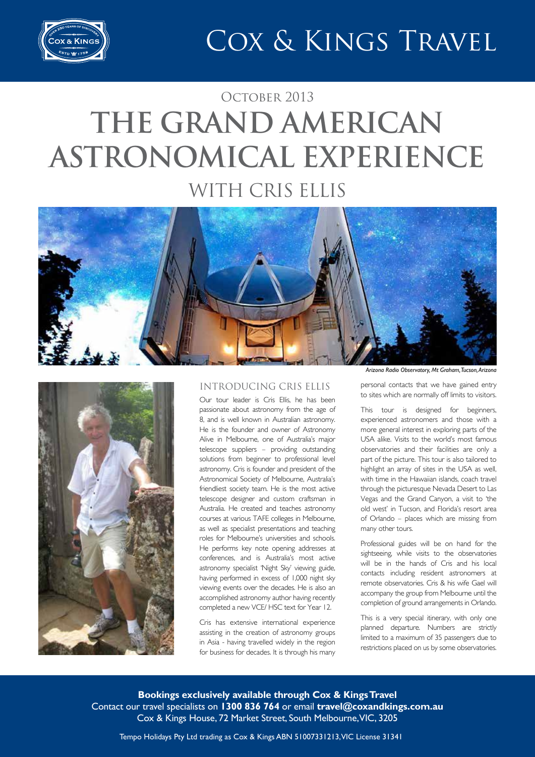

### OCTOBER 2013 **The Grand American Astronomical Experience** with Cris Ellis





#### Introducing Cris Ellis

Our tour leader is Cris Ellis, he has been passionate about astronomy from the age of 8, and is well known in Australian astronomy. He is the founder and owner of Astronomy Alive in Melbourne, one of Australia's major telescope suppliers – providing outstanding solutions from beginner to professional level astronomy. Cris is founder and president of the Astronomical Society of Melbourne, Australia's friendliest society team. He is the most active telescope designer and custom craftsman in Australia. He created and teaches astronomy courses at various TAFE colleges in Melbourne, as well as specialist presentations and teaching roles for Melbourne's universities and schools. He performs key note opening addresses at conferences, and is Australia's most active astronomy specialist 'Night Sky' viewing guide, having performed in excess of 1,000 night sky viewing events over the decades. He is also an accomplished astronomy author having recently completed a new VCE/ HSC text for Year 12.

Cris has extensive international experience assisting in the creation of astronomy groups in Asia - having travelled widely in the region for business for decades. It is through his many

*Arizona Radio Observatory, Mt Graham, Tucson, Arizona*

personal contacts that we have gained entry to sites which are normally off limits to visitors.

This tour is designed for beginners, experienced astronomers and those with a more general interest in exploring parts of the USA alike. Visits to the world's most famous observatories and their facilities are only a part of the picture. This tour is also tailored to highlight an array of sites in the USA as well, with time in the Hawaiian islands, coach travel through the picturesque Nevada Desert to Las Vegas and the Grand Canyon, a visit to 'the old west' in Tucson, and Florida's resort area of Orlando – places which are missing from many other tours.

Professional guides will be on hand for the sightseeing, while visits to the observatories will be in the hands of Cris and his local contacts including resident astronomers at remote observatories. Cris & his wife Gael will accompany the group from Melbourne until the completion of ground arrangements in Orlando.

This is a very special itinerary, with only one planned departure. Numbers are strictly limited to a maximum of 35 passengers due to restrictions placed on us by some observatories.

**Bookings exclusively available through Cox & Kings Travel**  Contact our travel specialists on **1300 836 764** or email **travel@coxandkings.com.au** Cox & Kings House, 72 Market Street, South Melbourne, VIC, 3205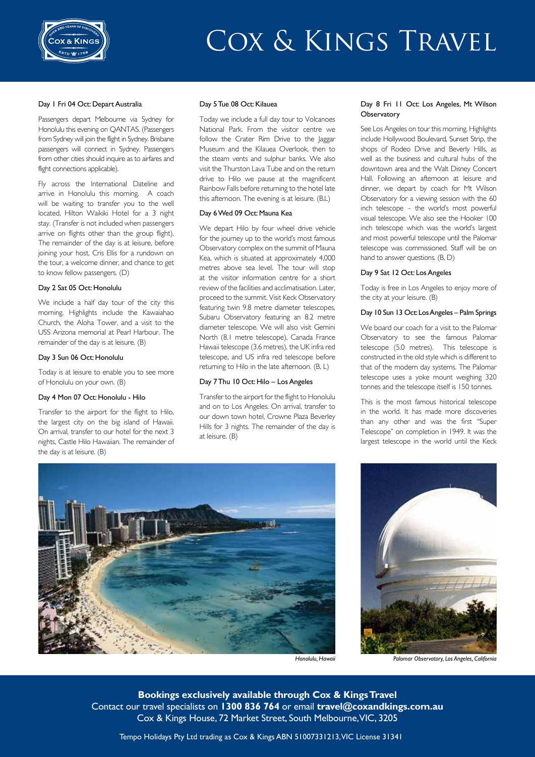

#### Day 1 Fri 04 Oct: Depart Australia

Passengers depart Melbourne via Sydney for Honolulu this evening on QANTAS. (Passengers from Sydney will join the flight in Sydney. Brisbane passengers will connect in Sydney. Passengers from other cities should inquire as to airfares and flight connections applicable).

Fly across the International Dateline and arrive in Honolulu this morning. A coach will be waiting to transfer you to the well located, Hilton Waikiki Hotel for a 3 night stay. (Transfer is not included when passengers arrive on flights other than the group flight). The remainder of the day is at leisure, before joining your host, Cris Ellis for a rundown on the tour, a welcome dinner, and chance to get to know fellow passengers. (D)

#### Day 2 Sat 05 Oct: Honolulu

We include a half day tour of the city this morning. Highlights include the Kawaiahao Church, the Aloha Tower, and a visit to the USS Arizona memorial at Pearl Harbour. The remainder of the day is at leisure. (B)

#### Day 3 Sun 06 Oct: Honolulu

Today is at leisure to enable you to see more of Honolulu on your own. (B)

#### Day 4 Mon 07 Oct: Honolulu - Hilo

Transfer to the airport for the flight to Hilo, the largest city on the big island of Hawaii. On arrival, transfer to our hotel for the next 3 nights, Castle Hilo Hawaiian. The remainder of the day is at leisure. (B)

#### Day 5 Tue 08 Oct: Kilauea

Today we include a full day tour to Volcanoes National Park. From the visitor centre we follow the Crater Rim Drive to the Jaggar Museum and the Kilauea Overlook, then to the steam vents and sulphur banks. We also visit the Thurston Lava Tube and on the return drive to Hilo we pause at the magnificent Rainbow Falls before returning to the hotel late this afternoon. The evening is at leisure. (B,L)

#### Day 6 Wed 09 Oct: Mauna Kea

We depart Hilo by four wheel drive vehicle for the journey up to the world's most famous Observatory complex on the summit of Mauna Kea, which is situated at approximately 4,000 metres above sea level. The tour will stop at the visitor information centre for a short review of the facilities and acclimatisation. Later, proceed to the summit. Visit Keck Observatory featuring twin 9.8 metre diameter telescopes, Subaru Observatory featuring an 8.2 metre diameter telescope. We will also visit Gemini North (8.1 metre telescope), Canada France Hawaii telescope (3.6 metres), the UK infra red telescope, and US infra red telescope before returning to Hilo in the late afternoon. (B, L)

#### Day 7 Thu 10 Oct: Hilo – Los Angeles

Transfer to the airport for the flight to Honolulu and on to Los Angeles. On arrival, transfer to our down town hotel, Crowne Plaza Beverley Hills for 3 nights. The remainder of the day is at leisure. (B)

#### Day 8 Fri 11 Oct: Los Angeles, Mt Wilson **Observatory**

See Los Angeles on tour this morning. Highlights include Hollywood Boulevard, Sunset Strip, the shops of Rodeo Drive and Beverly Hills, as well as the business and cultural hubs of the downtown area and the Walt Disney Concert Hall. Following an afternoon at leisure and dinner, we depart by coach for Mt Wilson Observatory for a viewing session with the 60 inch telescope – the world's most powerful visual telescope. We also see the Hooker 100 inch telescope which was the world's largest and most powerful telescope until the Palomar telescope was commissioned. Staff will be on hand to answer questions. (B, D)

#### Day 9 Sat 12 Oct: Los Angeles

Today is free in Los Angeles to enjoy more of the city at your leisure. (B)

#### Day 10 Sun 13 Oct: Los Angeles – Palm Springs

We board our coach for a visit to the Palomar Observatory to see the famous Palomar telescope (5.0 metres). This telescope is constructed in the old style which is different to that of the modern day systems. The Palomar telescope uses a yoke mount weighing 320 tonnes and the telescope itself is 150 tonnes.

This is the most famous historical telescope in the world. It has made more discoveries than any other and was the first "Super Telescope" on completion in 1949. It was the largest telescope in the world until the Keck





*Honolulu, Hawaii Palomar Observatory, Los Angeles, California*

**Bookings exclusively available through Cox & Kings Travel**  Contact our travel specialists on **1300 836 764** or email **travel@coxandkings.com.au** Cox & Kings House, 72 Market Street, South Melbourne, VIC, 3205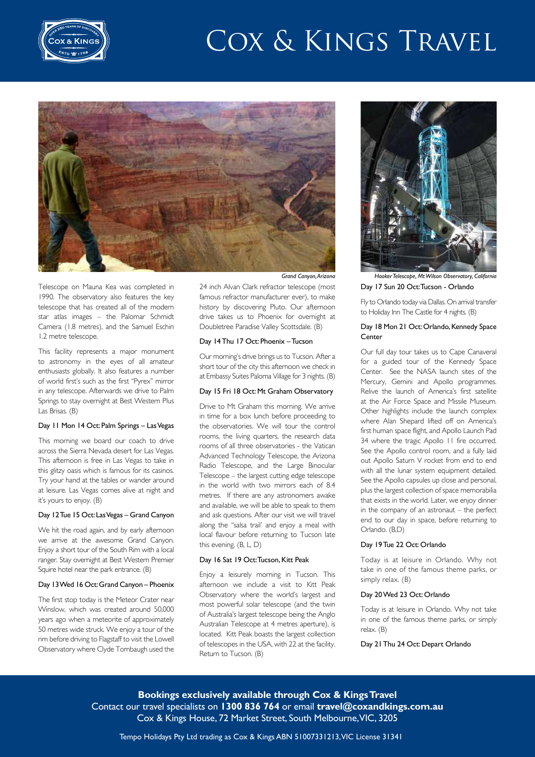



Telescope on Mauna Kea was completed in 1990. The observatory also features the key telescope that has created all of the modern star atlas images – the Palomar Schmidt Camera (1.8 metres), and the Samuel Eschin 1.2 metre telescope.

This facility represents a major monument to astronomy in the eyes of all amateur enthusiasts globally. It also features a number of world first's such as the first "Pyrex" mirror in any telescope. Afterwards we drive to Palm Springs to stay overnight at Best Western Plus Las Brisas. (B)

#### Day 11 Mon 14 Oct: Palm Springs – Las Vegas

This morning we board our coach to drive across the Sierra Nevada desert for Las Vegas. This afternoon is free in Las Vegas to take in this glitzy oasis which is famous for its casinos. Try your hand at the tables or wander around at leisure. Las Vegas comes alive at night and it's yours to enjoy. (B)

#### Day 12 Tue 15 Oct: Las Vegas – Grand Canyon

We hit the road again, and by early afternoon we arrive at the awesome Grand Canyon. Enjoy a short tour of the South Rim with a local ranger. Stay overnight at Best Western Premier Squire hotel near the park entrance. (B)

#### Day 13 Wed 16 Oct: Grand Canyon – Phoenix

The first stop today is the Meteor Crater near Winslow, which was created around 50,000 years ago when a meteorite of approximately 50 metres wide struck. We enjoy a tour of the rim before driving to Flagstaff to visit the Lowell Observatory where Clyde Tombaugh used the

24 inch Alvan Clark refractor telescope (most famous refractor manufacturer ever), to make history by discovering Pluto. Our afternoon drive takes us to Phoenix for overnight at Doubletree Paradise Valley Scottsdale. (B)

#### Day 14 Thu 17 Oct: Phoenix – Tucson

Our morning's drive brings us to Tucson. After a short tour of the city this afternoon we check in at Embassy Suites Paloma Village for 3 nights. (B)

#### Day 15 Fri 18 Oct: Mt Graham Observatory

Drive to Mt Graham this morning. We arrive in time for a box lunch before proceeding to the observatories. We will tour the control rooms, the living quarters, the research data rooms of all three observatories - the Vatican Advanced Technology Telescope, the Arizona Radio Telescope, and the Large Binocular Telescope – the largest cutting edge telescope in the world with two mirrors each of 8.4 metres. If there are any astronomers awake and available, we will be able to speak to them and ask questions. After our visit we will travel along the "salsa trail' and enjoy a meal with local flavour before returning to Tucson late this evening. (B, L, D)

#### Day 16 Sat 19 Oct: Tucson, Kitt Peak

Enjoy a leisurely morning in Tucson. This afternoon we include a visit to Kitt Peak Observatory where the world's largest and most powerful solar telescope (and the twin of Australia's largest telescope being the Anglo Australian Telescope at 4 metres aperture), is located. Kitt Peak boasts the largest collection of telescopes in the USA, with 22 at the facility. Return to Tucson. (B)



Day 17 Sun 20 Oct: Tucson - Orlando *Grand Canyon, Arizona Hooker Telescope, Mt Wilson Observatory, California*

Fly to Orlando today via Dallas. On arrival transfer to Holiday Inn The Castle for 4 nights. (B)

#### Day 18 Mon 21 Oct: Orlando, Kennedy Space Center

Our full day tour takes us to Cape Canaveral for a guided tour of the Kennedy Space Center. See the NASA launch sites of the Mercury, Gemini and Apollo programmes. Relive the launch of America's first satellite at the Air Force Space and Missile Museum. Other highlights include the launch complex where Alan Shepard lifted off on America's first human space flight, and Apollo Launch Pad 34 where the tragic Apollo 11 fire occurred. See the Apollo control room, and a fully laid out Apollo Saturn V rocket from end to end with all the lunar system equipment detailed. See the Apollo capsules up close and personal, plus the largest collection of space memorabilia that exists in the world. Later, we enjoy dinner in the company of an astronaut – the perfect end to our day in space, before returning to Orlando. (B,D)

#### Day 19 Tue 22 Oct: Orlando

Today is at leisure in Orlando. Why not take in one of the famous theme parks, or simply relax. (B)

#### Day 20 Wed 23 Oct: Orlando

Today is at leisure in Orlando. Why not take in one of the famous theme parks, or simply relax. (B)

#### Day 21 Thu 24 Oct: Depart Orlando

**Bookings exclusively available through Cox & Kings Travel**  Contact our travel specialists on **1300 836 764** or email **travel@coxandkings.com.au** Cox & Kings House, 72 Market Street, South Melbourne, VIC, 3205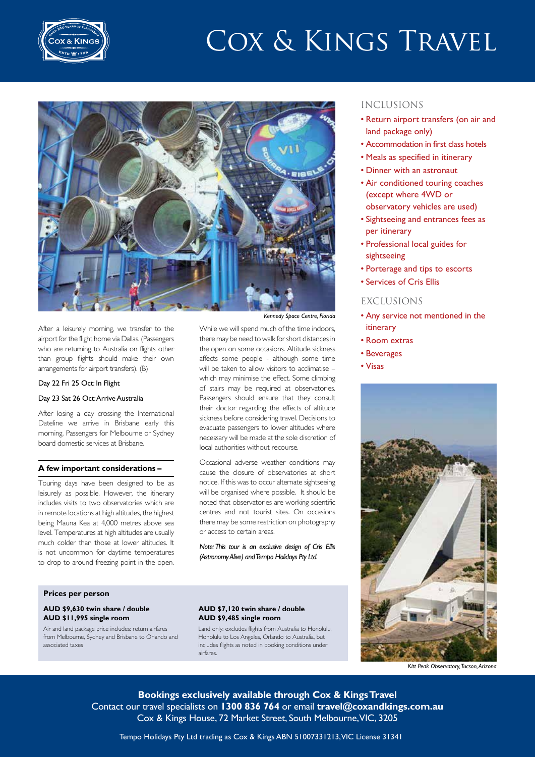



After a leisurely morning, we transfer to the airport for the flight home via Dallas. (Passengers who are returning to Australia on flights other than group flights should make their own arrangements for airport transfers). (B)

#### Day 22 Fri 25 Oct: In Flight

#### Day 23 Sat 26 Oct: Arrive Australia

After losing a day crossing the International Dateline we arrive in Brisbane early this morning. Passengers for Melbourne or Sydney board domestic services at Brisbane.

#### **A few important considerations –**

Touring days have been designed to be as leisurely as possible. However, the itinerary includes visits to two observatories which are in remote locations at high altitudes, the highest being Mauna Kea at 4,000 metres above sea level. Temperatures at high altitudes are usually much colder than those at lower altitudes. It is not uncommon for daytime temperatures to drop to around freezing point in the open.

#### *Kennedy Space Centre, Florida*

While we will spend much of the time indoors, there may be need to walk for short distances in the open on some occasions. Altitude sickness affects some people - although some time will be taken to allow visitors to acclimatise – which may minimise the effect. Some climbing of stairs may be required at observatories. Passengers should ensure that they consult their doctor regarding the effects of altitude sickness before considering travel. Decisions to evacuate passengers to lower altitudes where necessary will be made at the sole discretion of local authorities without recourse.

Occasional adverse weather conditions may cause the closure of observatories at short notice. If this was to occur alternate sightseeing will be organised where possible. It should be noted that observatories are working scientific centres and not tourist sites. On occasions there may be some restriction on photography or access to certain areas.

*Note: This tour is an exclusive design of Cris Ellis (Astronomy Alive) and Tempo Holidays Pty Ltd.* 

#### **Prices per person**

#### **AUD \$9,630 twin share / double AUD \$11,995 single room**

Air and land package price includes: return airfares from Melbourne, Sydney and Brisbane to Orlando and associated taxes

#### **AUD \$7,120 twin share / double AUD \$9,485 single room**

Land only: excludes flights from Australia to Honolulu, Honolulu to Los Angeles, Orlando to Australia, but includes flights as noted in booking conditions under airfares.

#### INCLUSIONS

- • Return airport transfers (on air and land package only)
- Accommodation in first class hotels
- Meals as specified in itinerary
- • Dinner with an astronaut
- Air conditioned touring coaches (except where 4WD or observatory vehicles are used)
- • Sightseeing and entrances fees as per itinerary
- • Professional local guides for sightseeing
- Porterage and tips to escorts
- • Services of Cris Ellis

#### EXCLUSIONS

- Any service not mentioned in the itinerary
- • Room extras
- • Beverages
- • Visas



*Kitt Peak Observatory, Tucson, Arizona*

**Bookings exclusively available through Cox & Kings Travel**  Contact our travel specialists on **1300 836 764** or email **travel@coxandkings.com.au** Cox & Kings House, 72 Market Street, South Melbourne, VIC, 3205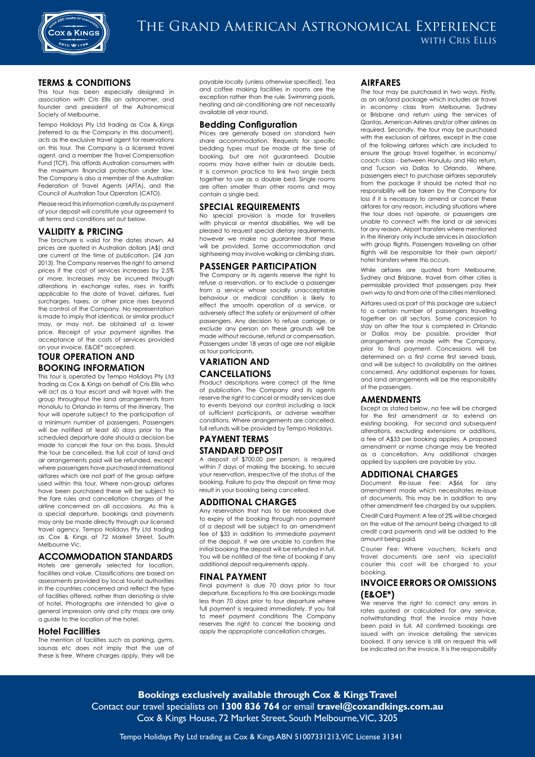

#### **TERMS & CONDITIONS**

This tour has been especially designed in association with Cris Ellis an astronomer, and founder and president of the Astronomical Society of Melbourne.

Tempo Holidays Pty Ltd trading as Cox & Kings (referred to as the Company in this document), acts as the exclusive travel agent for reservations on this tour. The Company is a licensed travel agent, and a member the Travel Compensation Fund (TCF). This affords Australian consumers with the maximum financial protection under law. The Company is also a member of the Australian Federation of Travel Agents (AFTA), and the Council of Australian Tour Operators (CATO).

Please read this information carefully as payment of your deposit will constitute your agreement to all terms and conditions set out below.

#### **VALIDITY & PRICING**

The brochure is valid for the dates shown. All prices are quoted in Australian dollars (A\$) and are current at the time of publication. (24 Jan 2013). The Company reserves the right to amend prices if the cost of services increases by 2.5% or more. Increases may be incurred through alterations in exchange rates, rises in tariffs applicable to the date of travel, airfares, fuel surcharges, taxes, or other price rises beyond the control of the Company. No representation is made to imply that identical, or similar product may, or may not, be obtained at a lower price. Receipt of your payment signifies the acceptance of the costs of services provided on your invoice, E&OE\* accepted.

#### **TOUR OPERATION AND BOOKING INFORMATION**

This tour is operated by Tempo Holidays Pty Ltd trading as Cox & Kings on behalf of Cris Ellis who will act as a tour escort and will travel with the group throughout the land arrangements from Honolulu to Orlando in terms of the itinerary. The tour will operate subject to the participation of a minimum number of passengers. Passengers will be notified at least 60 days prior to the scheduled departure date should a decision be made to cancel the tour on this basis. Should the tour be cancelled, the full cost of land and air arrangements paid will be refunded, except where passengers have purchased international airfares which are not part of the group airfare used within this tour. Where non-group airfares have been purchased these will be subject to the fare rules and cancellation charges of the airline concerned on all occasions. As this is a special departure, bookings and payments may only be made directly through our licensed travel agency, Tempo Holidays Pty Ltd trading as Cox & Kings at 72 Market Street, South Melbourne Vic.

#### **ACCOMMODATION STANDARDS**

Hotels are generally selected for location, facilities and value. Classifications are based on assessments provided by local tourist authorities in the countries concerned and reflect the type of facilities offered, rather than denoting a style of hotel. Photographs are intended to give a general impression only and city maps are only a guide to the location of the hotel.

#### **Hotel Facilities**

The mention of facilities such as parking, gyms, saunas etc does not imply that the use of these is free. Where charges apply, they will be payable locally (unless otherwise specified). Tea and coffee making facilities in rooms are the exception rather than the rule. Swimming pools, heating and air-conditioning are not necessarily available all year round.

#### **Bedding Configuration**

Prices are generally based on standard twin share accommodation. Requests for specific bedding types must be made at the time of booking, but are not guaranteed. Double rooms may have either twin or double beds. It is common practice to link two single beds together to use as a double bed. Single rooms are often smaller than other rooms and may contain a single bed.

#### **SPECIAL REQUIREMENTS**

No special provision is made for travellers with physical or mental disabilities. We will be pleased to request special dietary requirements, however we make no guarantee that these will be provided. Some accommodation and sightseeing may involve walking or climbing stairs.

#### **PASSENGER PARTICIPATION**

The Company or its agents reserve the right to refuse a reservation, or to exclude a passenger from a service whose socially unacceptable behaviour or medical condition is likely to effect the smooth operation of a service, or adversely affect the safety or enjoyment of other passengers. Any decision to refuse carriage, or exclude any person on these grounds will be made without recourse, refund or compensation. Passengers under 18 years of age are not eligible as tour participants.

### **VARIATION AND CANCELLATIONS**

Product descriptions were correct at the time of publication. The Company and its agents reserve the right to cancel or modify services due to events beyond our control including a lack of sufficient participants, or adverse weather conditions. Where arrangements are cancelled, full refunds will be provided by Tempo Holidays.

#### **PAYMENT TERMS STANDARD DEPOSIT**

A deposit of \$700.00 per person, is required within 7 days of making the booking, to secure your reservation, irrespective of the status of the booking. Failure to pay the deposit on time may result in your booking being cancelled.

#### **ADDITIONAL CHARGES**

Any reservation that has to be rebooked due to expiry of the booking through non payment of a deposit will be subject to an amendment fee of \$33 in addition to immediate payment of the deposit. If we are unable to confirm the initial booking the deposit will be refunded in full. You will be notified at the time of booking if any additional deposit requirements apply.

#### **FINAL PAYMENT**

Final payment is due 70 days prior to tour departure. Exceptions to this are bookings made less than 70 days prior to tour departure where full payment is required immediately. If you fail to meet payment conditions The Company reserves the right to cancel the booking and apply the appropriate cancellation charaes.

#### **AIRFARES**

The tour may be purchased in two ways. Firstly, as an air/land package which includes air travel in economy class from Melbourne, Sydney or Brisbane and return using the services of Qantas, American Airlines and/or other airlines as required. Secondly, the tour may be purchased with the exclusion of airfares, except in the case of the following airfares which are included to ensure the group travel together, in economy/ coach class - between Honululu and Hilo return, and Tucson via Dallas to Orlando. Where, passengers elect to purchase airfares separately from the package it should be noted that no responsibility will be taken by the Company for loss if it is necessary to amend or cancel these airfares for any reason, including situations where the tour does not operate, or passengers are unable to connect with the land or air services for any reason. Airport transfers where mentioned in the itinerary only include services in association with group flights. Passengers travelling on other flights will be responsible for their own airport/ hotel transfers where this occurs.

While airfares are quoted from Melbourne, Sydney and Brisbane, travel from other cities is permissible provided that passengers pay their own way to and from one of the cities mentioned.

Airfares used as part of this package are subject to a certain number of passengers travelling together on all sectors. Some concession to stay on after the tour is completed in Orlando or Dallas may be possible, provider that arrangements are made with the Company, prior to final payment. Concessions will be determined on a first come first served basis, and will be subject to availability on the airlines concerned. Any additional expenses for taxes, and land arrangements will be the responsibility of the passengers.

#### **AMENDMENTS**

Except as stated below, no fee will be charged for the first amendment or to extend an existing booking. For second and subsequent alterations, excluding extensions or additions, a fee of A\$33 per booking applies. A proposed amendment or name change may be treated as a cancellation. Any additional charges applied by suppliers are payable by you.

#### **ADDITIONAL CHARGES**

Document Re-issue Fee: A\$66 for any amendment made which necessitates re-issue of documents. This may be in addition to any other amendment fee charged by our suppliers.

Credit Card Payment: A fee of 2% will be charged on the value of the amount being charged to all credit card payments and will be added to the amount being paid.

Courier Fee: Where vouchers, tickets and travel documents are sent via specialist courier this cost will be charged to your booking.

#### **INVOICE ERRORS OR OMISSIONS (E&OE\*)**

We reserve the right to correct any errors in rates quoted or calculated for any service, notwithstanding that the invoice may have been paid in full. All confirmed bookings are issued with an invoice detailing the services booked. If any service is still on request this will be indicated on the invoice. It is the responsibility

**Bookings exclusively available through Cox & Kings Travel**  Contact our travel specialists on **1300 836 764** or email **travel@coxandkings.com.au** Cox & Kings House, 72 Market Street, South Melbourne, VIC, 3205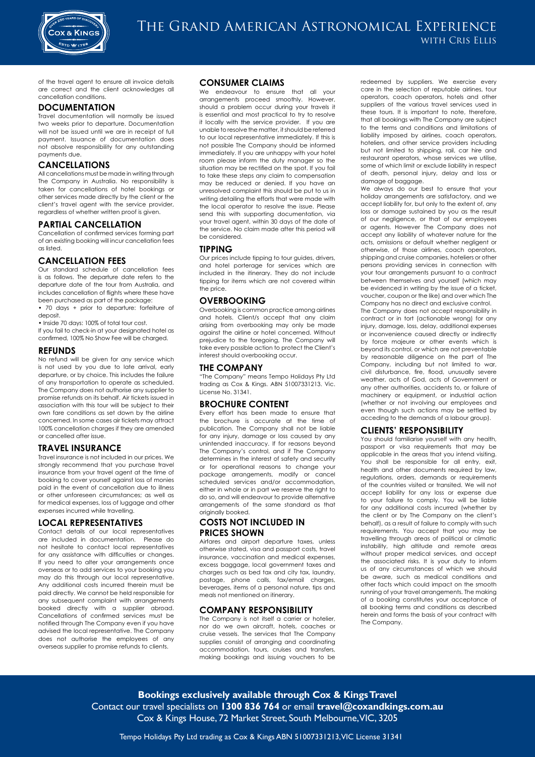

of the travel agent to ensure all invoice details are correct and the client acknowledges all cancellation conditions.

#### **DOCUMENTATION**

Travel documentation will normally be issued two weeks prior to departure. Documentation will not be issued until we are in receipt of full payment. Issuance of documentation does not absolve responsibility for any outstanding payments due.

#### **CANCELLATIONS**

All cancellations must be made in writing through The Company in Australia. No responsibility is taken for cancellations of hotel bookings or other services made directly by the client or the client's travel agent with the service provider, regardless of whether written proof is given.

#### **PARTIAL CANCELLATION**

Cancellation of confirmed services forming part of an existing booking will incur cancellation fees as listed.

#### **CANCELLATION FEES**

Our standard schedule of cancellation fees is as follows. The departure date refers to the departure date of the tour from Australia, and includes cancellation of flights where these have been purchased as part of the package:

• 70 days + prior to departure: forfeiture of deposit.

• Inside 70 days: 100% of total tour cost.

If you fail to check-in at your designated hotel as confirmed, 100% No Show Fee will be charged.

#### **REFUNDS**

No refund will be given for any service which is not used by you due to late arrival, early departure, or by choice. This includes the failure of any transportation to operate as scheduled. The Company does not authorise any supplier to promise refunds on its behalf. Air tickets issued in association with this tour will be subject to their own fare conditions as set down by the airline concerned. In some cases air tickets may attract 100% cancellation charges if they are amended or cancelled after issue.

#### **TRAVEL INSURANCE**

Travel insurance is not included in our prices. We strongly recommend that you purchase travel insurance from your travel agent at the time of booking to cover yourself against loss of monies paid in the event of cancellation due to illness or other unforeseen circumstances; as well as for medical expenses, loss of luggage and other expenses incurred while travelling.

#### **LOCAL REPRESENTATIVES**

Contact details of our local representatives are included in documentation. Please do not hesitate to contact local representatives for any assistance with difficulties or changes. If you need to alter your arrangements once overseas or to add services to your booking you may do this through our local representative. Any additional costs incurred therein must be paid directly. We cannot be held responsible for any subsequent complaint with arrangements booked directly with a supplier abroad. Cancellations of confirmed services must be notified through The Company even if you have advised the local representative. The Company does not authorise the employees of any overseas supplier to promise refunds to clients.

#### **CONSUMER CLAIMS**

We endeavour to ensure that all your arrangements proceed smoothly. However, should a problem occur during your travels it is essential and most practical to try to resolve it locally with the service provider. If you are unable to resolve the matter, it should be referred to our local representative immediately. If this is not possible The Company should be informed immediately. If you are unhappy with your hotel room please inform the duty manager so the situation may be rectified on the spot. If you fail to take these steps any claim to compensation may be reduced or denied. If you have an unresolved complaint this should be put to us in writing detailing the efforts that were made with the local operator to resolve the issue. Please send this with supporting documentation, via your travel agent, within 30 days of the date of the service. No claim made after this period will be considered.

#### **TIPPING**

Our prices include tipping to tour guides, drivers, and hotel porterage for services which are included in the itinerary. They do not include tipping for items which are not covered within the price.

#### **OVERBOOKING**

Overbooking is common practice among airlines and hotels. Client/s accept that any claim arising from overbooking may only be made against the airline or hotel concerned. Without prejudice to the foregoing, The Company will take every possible action to protect the Client's interest should overbooking occur.

#### **THE COMPANY**

"The Company" means Tempo Holidays Pty Ltd trading as Cox & Kings. ABN 51007331213. Vic. License No. 31341.

#### **BROCHURE CONTENT**

Every effort has been made to ensure that the brochure is accurate at the time of publication. The Company shall not be liable for any injury, damage or loss caused by any unintended inaccuracy. If for reasons beyond The Company's control, and if The Company determines in the interest of safety and security or for operational reasons to change your package arrangements, modify or cancel scheduled services and/or accommodation, either in whole or in part we reserve the right to do so, and will endeavour to provide alternative arrangements of the same standard as that originally booked.

#### **COSTS NOT INCLUDED IN PRICES SHOWN**

Airfares and airport departure taxes, unless otherwise stated, visa and passport costs, travel insurance, vaccination and medical expenses, excess baggage, local government taxes and charges such as bed tax and city tax, laundry, postage, phone calls, fax/email charges, beverages, items of a personal nature, tips and meals not mentioned on itinerary.

#### **COMPANY RESPONSIBILITY**

The Company is not itself a carrier or hotelier, nor do we own aircraft, hotels, coaches or cruise vessels. The services that The Company supplies consist of arranging and coordinating accommodation, tours, cruises and transfers, making bookings and issuing vouchers to be redeemed by suppliers. We exercise every care in the selection of reputable airlines, tour operators, coach operators, hotels and other suppliers of the various travel services used in these tours. It is important to note, therefore, that all bookings with The Company are subject to the terms and conditions and limitations of liability imposed by airlines, coach operators, hoteliers, and other service providers including but not limited to shipping, rail, car hire and restaurant operators, whose services we utilise, some of which limit or exclude liability in respect of death, personal injury, delay and loss or damage of baggage.

We always do our best to ensure that your holiday arrangements are satisfactory, and we accept liability for, but only to the extent of, any loss or damage sustained by you as the result of our negligence, or that of our employees or agents. However The Company does not accept any liability of whatever nature for the acts, omissions or default whether negligent or otherwise, of those airlines, coach operators, shipping and cruise companies, hoteliers or other persons providing services in connection with your tour arrangements pursuant to a contract between themselves and yourself (which may be evidenced in writing by the issue of a ticket, voucher, coupon or the like) and over which The Company has no direct and exclusive control.

The Company does not accept responsibility in contract or in tort (actionable wrong) for any injury, damage, loss, delay, additional expenses or inconvenience caused directly or indirectly by force majeure or other events which is beyond its control, or which are not preventable by reasonable diligence on the part of The Company, including but not limited to war, civil disturbance, fire, flood, unusually severe weather, acts of God, acts of Government or any other authorities, accidents to, or failure of machinery or equipment, or industrial action (whether or not involving our employees and even though such actions may be settled by acceding to the demands of a labour group).

#### **CLIENTS' RESPONSIBILITY**

You should familiarise yourself with any health, passport or visa requirements that may be applicable in the areas that you intend visiting. You shall be responsible for all entry, exit, health and other documents required by law, regulations, orders, demands or requirements of the countries visited or transited. We will not accept liability for any loss or expense due to your failure to comply. You will be liable for any additional costs incurred (whether by the client or by The Company on the client's behalf), as a result of failure to comply with such requirements. You accept that you may be travelling through areas of political or climatic instability, high altitude and remote areas without proper medical services, and accept the associated risks. It is your duty to inform us of any circumstances of which we should be aware, such as medical conditions and other facts which could impact on the smooth running of your travel arrangements. The making of a booking constitutes your acceptance of all booking terms and conditions as described herein and forms the basis of your contract with The Company.

**Bookings exclusively available through Cox & Kings Travel**  Contact our travel specialists on **1300 836 764** or email **travel@coxandkings.com.au** Cox & Kings House, 72 Market Street, South Melbourne, VIC, 3205